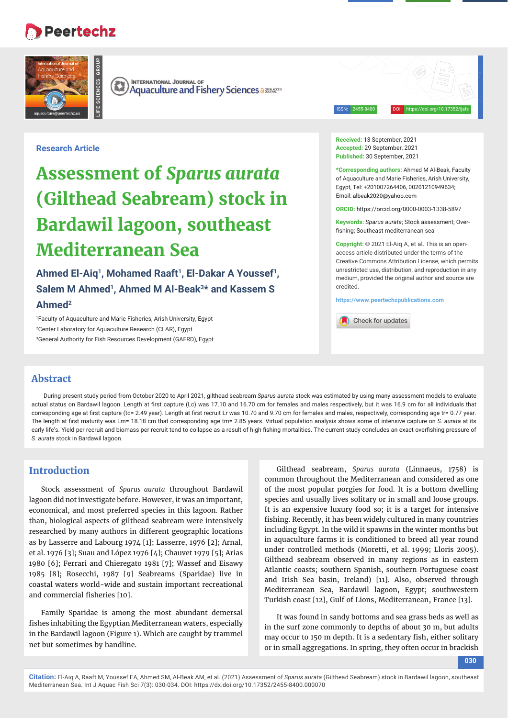## **Peertechz**

**LIFE SCIENCES GROUP**



**INTERNATIONAL JOURNAL OF**  $(\mathbb{R})$ **Aquaculture and Fishery Sciences assessed Aquaculture and Fishery Sciences** 

ISSN: 2455-8400 DOI: https://doi.org/10.17352/ijafs

## **Research Article**

# **Assessment of** *Sparus aurata* **(Gilthead Seabream) stock in Bardawil lagoon, southeast Mediterranean Sea**

Ahmed El-Aiq<sup>1</sup>, Mohamed Raaft<sup>1</sup>, El-Dakar A Youssef<sup>1</sup>, Salem M Ahmed<sup>1</sup>, Ahmed M Al-Beak<sup>3\*</sup> and Kassem S **Ahmed2**

1 Faculty of Aquaculture and Marie Fisheries, Arish University, Egypt 2 Center Laboratory for Aquaculture Research (CLAR), Egypt 3 General Authority for Fish Resources Development (GAFRD), Egypt **Received:** 13 September, 2021 **Accepted:** 29 September, 2021 **Published:** 30 September, 2021

**\*Corresponding authors:** Ahmed M Al-Beak, Faculty of Aquaculture and Marie Fisheries, Arish University, Egypt, Tel: +201007264406, 00201210949634; Email: albeak2020@yahoo.com

**ORCID:** https://orcid.org/0000-0003-1338-5897

**Keywords:** *Sparus aurata*; Stock assessment; Overfishing; Southeast mediterranean sea

**Copyright:** © 2021 El-Aiq A, et al. This is an openaccess article distributed under the terms of the Creative Commons Attribution License, which permits unrestricted use, distribution, and reproduction in any medium, provided the original author and source are credited.

**https://www.peertechzpublications.com**

Check for updates

## **Abstract**

During present study period from October 2020 to April 2021, gilthead seabream *Sparus aurata* stock was estimated by using many assessment models to evaluate actual status on Bardawil lagoon. Length at first capture (Lc) was 17.10 and 16.70 cm for females and males respectively, but it was 16.9 cm for all individuals that corresponding age at first capture (tc= 2.49 year). Length at first recruit Lr was 10.70 and 9.70 cm for females and males, respectively, corresponding age tr= 0.77 year. The length at first maturity was Lm= 18.18 cm that corresponding age tm= 2.85 years. Virtual population analysis shows some of intensive capture on *S. aurata* at its early life's. Yield per recruit and biomass per recruit tend to collapse as a result of high fishing mortalities. The current study concludes an exact overfishing pressure of *S. aurata* stock in Bardawil lagoon.

## **Introduction**

Stock assessment of *Sparus aurata* throughout Bardawil lagoon did not investigate before. However, it was an important, economical, and most preferred species in this lagoon. Rather than, biological aspects of gilthead seabream were intensively researched by many authors in different geographic locations as by Lasserre and Labourg 1974 [1]; Lasserre, 1976 [2]; Arnal, et al. 1976 [3]; Suau and López 1976 [4]; Chauvet 1979 [5]; Arias 1980 [6]; Ferrari and Chieregato 1981 [7]; Wassef and Eisawy 1985 [8]; Rosecchi, 1987 [9] Seabreams (Sparidae) live in coastal waters world-wide and sustain important recreational and commercial fisheries [10].

Family Sparidae is among the most abundant demersal fishes inhabiting the Egyptian Mediterranean waters, especially in the Bardawil lagoon (Figure 1). Which are caught by trammel net but sometimes by handline.

Gilthead seabream, *Sparus aurata* (Linnaeus, 1758) is common throughout the Mediterranean and considered as one of the most popular porgies for food. It is a bottom dwelling species and usually lives solitary or in small and loose groups. It is an expensive luxury food so; it is a target for intensive fishing. Recently, it has been widely cultured in many countries including Egypt. In the wild it spawns in the winter months but in aquaculture farms it is conditioned to breed all year round under controlled methods (Moretti, et al. 1999; Lloris 2005). Gilthead seabream observed in many regions as in eastern Atlantic coasts; southern Spanish, southern Portuguese coast and Irish Sea basin, Ireland) [11]. Also, observed through Mediterranean Sea, Bardawil lagoon, Egypt; southwestern Turkish coast [12], Gulf of Lions, Mediterranean, France [13].

It was found in sandy bottoms and sea grass beds as well as in the surf zone commonly to depths of about 30 m, but adults may occur to 150 m depth. It is a sedentary fish, either solitary or in small aggregations. In spring, they often occur in brackish

**030**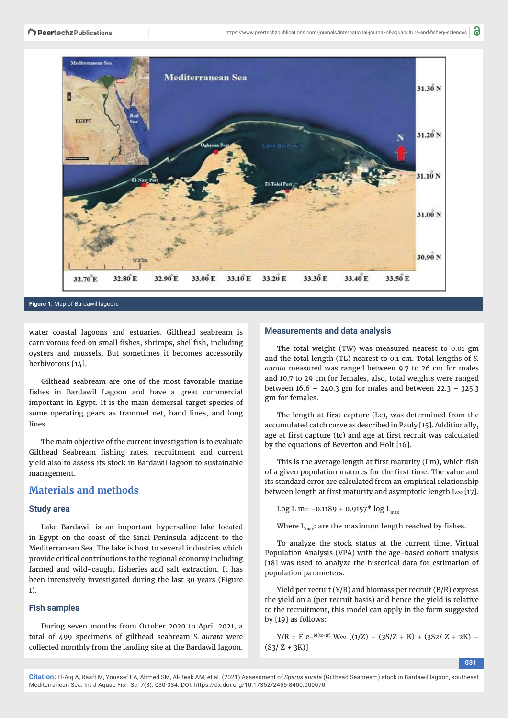

#### **Figure 1:** Map of Bardawil lagoon.

water coastal lagoons and estuaries. Gilthead seabream is carnivorous feed on small fishes, shrimps, shellfish, including oysters and mussels. But sometimes it becomes accessorily herbivorous [14].

Gilthead seabream are one of the most favorable marine fishes in Bardawil Lagoon and have a great commercial important in Egypt. It is the main demersal target species of some operating gears as trammel net, hand lines, and long lines.

The main objective of the current investigation is to evaluate Gilthead Seabream fishing rates, recruitment and current yield also to assess its stock in Bardawil lagoon to sustainable management.

## **Materials and methods**

#### **Study area**

Lake Bardawil is an important hypersaline lake located in Egypt on the coast of the Sinai Peninsula adjacent to the Mediterranean Sea. The lake is host to several industries which provide critical contributions to the regional economy including farmed and wild-caught fisheries and salt extraction. It has been intensively investigated during the last 30 years (Figure 1).

#### **Fish samples**

During seven months from October 2020 to April 2021, a total of 499 specimens of gilthead seabream *S. aurata* were collected monthly from the landing site at the Bardawil lagoon.

#### **Measurements and data analysis**

The total weight (TW) was measured nearest to 0.01 gm and the total length (TL) nearest to 0.1 cm. Total lengths of *S. aurata* measured was ranged between 9.7 to 26 cm for males and 10.7 to 29 cm for females, also, total weights were ranged between  $16.6 - 240.3$  gm for males and between  $22.3 - 325.3$ gm for females.

The length at first capture (Lc), was determined from the accumulated catch curve as described in Pauly [15]. Additionally, age at first capture (tc) and age at first recruit was calculated by the equations of Beverton and Holt [16].

This is the average length at first maturity (Lm), which fish of a given population matures for the first time. The value and its standard error are calculated from an empirical relationship between length at first maturity and asymptotic length  $L\infty$  [17].

Log L m=  $-0.1189 + 0.9157$ <sup>\*</sup> log L<sub>max</sub>

Where  $L_{\text{max}}$ : are the maximum length reached by fishes.

To analyze the stock status at the current time, Virtual Population Analysis (VPA) with the age-based cohort analysis [18] was used to analyze the historical data for estimation of population parameters.

Yield per recruit (Y/R) and biomass per recruit (B/R) express the yield on a (per recruit basis) and hence the yield is relative to the recruitment, this model can apply in the form suggested by [19] as follows:

 $Y/R = F e^{-M(tc-tr)} W \in [(1/Z) - (3S/Z + K) + (3S2/Z + 2K) (S_3/Z + 3K)$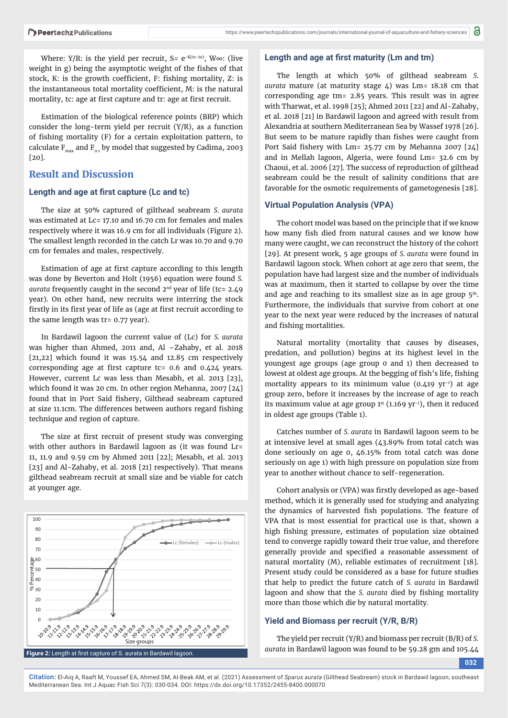Where: Y/R: is the yield per recruit, S=  $e^{-K(tc-to)}$ , W $\infty$ : (live weight in g) being the asymptotic weight of the fishes of that stock, K: is the growth coefficient, F: fishing mortality, Z: is the instantaneous total mortality coefficient, M: is the natural mortality, tc: age at first capture and tr: age at first recruit.

Estimation of the biological reference points (BRP) which consider the long-term yield per recruit (Y/R), as a function of fishing mortality (F) for a certain exploitation pattern, to calculate  $F_{\text{max}}$  and  $F_{0}$ , by model that suggested by Cadima, 2003 [20].

## **Result and Discussion**

#### **Length and age at first capture (Lc and tc)**

The size at 50% captured of gilthead seabream *S. aurata* was estimated at Lc= 17.10 and 16.70 cm for females and males respectively where it was 16.9 cm for all individuals (Figure 2). The smallest length recorded in the catch Lr was 10.70 and 9.70 cm for females and males, respectively.

Estimation of age at first capture according to this length was done by Beverton and Holt (1956) equation were found *S. aurata* frequently caught in the second 2nd year of life (tc= 2.49 year). On other hand, new recruits were interring the stock firstly in its first year of life as (age at first recruit according to the same length was tr= 0.77 year).

In Bardawil lagoon the current value of (Lc) for *S. aurata* was higher than Ahmed, 2011 and,  $Al -Zahabv$ , et al. 2018 [21,22] which found it was 15.54 and 12.85 cm respectively corresponding age at first capture tc=  $0.6$  and  $0.424$  years. However, current Lc was less than Mesabh, et al. 2013 [23], which found it was 20 cm. In other region Mehanna, 2007 [24] found that in Port Said fishery, Gilthead seabream captured at size 11.1cm. The differences between authors regard fishing technique and region of capture.

The size at first recruit of present study was converging with other authors in Bardawil lagoon as (it was found Lr= 11, 11.9 and 9.59 cm by Ahmed 2011 [22]; Mesabh, et al. 2013 [23] and Al-Zahaby, et al. 2018 [21] respectively). That means gilthead seabream recruit at small size and be viable for catch at younger age.



#### Length and age at first maturity (Lm and tm)

The length at which 50% of gilthead seabream *S. aurata* mature (at maturity stage 4) was Lm= 18.18 cm that corresponding age tm= 2.85 years. This result was in agree with Tharwat, et al. 1998 [25]; Ahmed 2011 [22] and Al-Zahaby, et al. 2018 [21] in Bardawil lagoon and agreed with result from Alexandria at southern Mediterranean Sea by Wassef 1978 [26]. But seem to be mature rapidly than fishes were caught from Port Said fishery with Lm=  $25.77$  cm by Mehanna 2007 [24] and in Mellah lagoon, Algeria, were found Lm= 32.6 cm by Chaoui, et al. 2006 [27]. The success of reproduction of gilthead seabream could be the result of salinity conditions that are favorable for the osmotic requirements of gametogenesis [28].

#### **Virtual Population Analysis (VPA)**

The cohort model was based on the principle that if we know how many fish died from natural causes and we know how many were caught, we can reconstruct the history of the cohort [29]. At present work, 5 age groups of *S. aurata* were found in Bardawil lagoon stock. When cohort at age zero that seem, the population have had largest size and the number of individuals was at maximum, then it started to collapse by over the time and age and reaching to its smallest size as in age group  $5<sup>th</sup>$ . Furthermore, the individuals that survive from cohort at one year to the next year were reduced by the increases of natural and fishing mortalities.

Natural mortality (mortality that causes by diseases, predation, and pollution) begins at its highest level in the youngest age groups (age group 0 and 1) then decreased to lowest at oldest age groups. At the begging of fish's life, fishing mortality appears to its minimum value  $(0.419 \text{ yr}^{-1})$  at age group zero, before it increases by the increase of age to reach its maximum value at age group  $1^{st}$  (1.169 yr<sup>-1</sup>), then it reduced in oldest age groups (Table 1).

Catches number of *S. aurata* in Bardawil lagoon seem to be at intensive level at small ages (43.89% from total catch was done seriously on age 0, 46.15% from total catch was done seriously on age 1) with high pressure on population size from year to another without chance to self-regeneration.

Cohort analysis or (VPA) was firstly developed as age-based method, which it is generally used for studying and analyzing the dynamics of harvested fish populations. The feature of VPA that is most essential for practical use is that, shown a high fishing pressure, estimates of population size obtained tend to converge rapidly toward their true value, and therefore generally provide and specified a reasonable assessment of natural mortality (M), reliable estimates of recruitment [18]. Present study could be considered as a base for future studies that help to predict the future catch of *S. aurata* in Bardawil lagoon and show that the *S. aurata* died by fishing mortality more than those which die by natural mortality.

#### **Yield and Biomass per recruit (Y/R, B/R)**

The yield per recruit (Y/R) and biomass per recruit (B/R) of *S. aurata* in Bardawil lagoon was found to be 59.28 gm and 105.44

**032**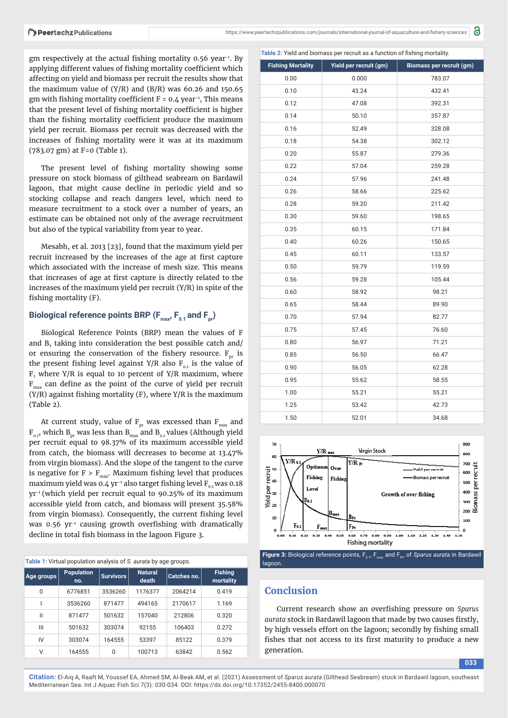gm respectively at the actual fishing mortality 0.56 year<sup>-1</sup>. By applying different values of fishing mortality coefficient which affecting on yield and biomass per recruit the results show that the maximum value of  $(Y/R)$  and  $(B/R)$  was 60.26 and 150.65 gm with fishing mortality coefficient  $F = 0.4$  year<sup>-1</sup>, This means that the present level of fishing mortality coefficient is higher than the fishing mortality coefficient produce the maximum yield per recruit. Biomass per recruit was decreased with the increases of fishing mortality were it was at its maximum (783.07 gm) at F=0 (Table 1).

The present level of fishing mortality showing some pressure on stock biomass of gilthead seabream on Bardawil lagoon, that might cause decline in periodic yield and so stocking collapse and reach dangers level, which need to measure recruitment to a stock over a number of years, an estimate can be obtained not only of the average recruitment but also of the typical variability from year to year.

Mesabh, et al. 2013 [23], found that the maximum yield per recruit increased by the increases of the age at first capture which associated with the increase of mesh size. This means that increases of age at first capture is directly related to the increases of the maximum yield per recruit (Y/R) in spite of the fishing mortality (F).

### Biological reference points BRP (F<sub>max</sub>, F<sub>0.1</sub> and F<sub>pr</sub>)

Biological Reference Points (BRP) mean the values of F and B, taking into consideration the best possible catch and/ or ensuring the conservation of the fishery resource.  $F_{nr}$  is the present fishing level against Y/R also  $F_{0.1}$  is the value of F, where Y/R is equal to 10 percent of Y/R maximum, where  $F_{\text{max}}$  can define as the point of the curve of yield per recruit  $(Y/R)$  against fishing mortality  $(F)$ , where  $Y/R$  is the maximum (Table 2).

At current study, value of  $F_{pr}$  was excessed than  $F_{max}$  and  $F_{0,1}$ , which B<sub>pr</sub> was less than B<sub>max</sub> and B<sub>0.1</sub> values (Although yield per recruit equal to 98.37% of its maximum accessible yield from catch, the biomass will decreases to become at 13.47% from virgin biomass). And the slope of the tangent to the curve is negative for  $F > F_{max}$ . Maximum fishing level that produces maximum yield was 0.4 yr<sup>-1</sup> also target fishing level  $F_{0.1}$  was 0.18 yr-1 (which yield per recruit equal to 90.25% of its maximum accessible yield from catch, and biomass will present 35.58% from virgin biomass). Consequently, the current fishing level was  $0.56$  yr<sup>-1</sup> causing growth overfishing with dramatically decline in total fish biomass in the lagoon Figure 3.

| Table 1: Virtual population analysis of S. aurata by age groups. |                          |                  |                         |             |                             |
|------------------------------------------------------------------|--------------------------|------------------|-------------------------|-------------|-----------------------------|
| Age groups                                                       | <b>Population</b><br>no. | <b>Survivors</b> | <b>Natural</b><br>death | Catches no. | <b>Fishing</b><br>mortality |
| $\Omega$                                                         | 6776851                  | 3536260          | 1176377                 | 2064214     | 0.419                       |
|                                                                  | 3536260                  | 871477           | 494165                  | 2170617     | 1.169                       |
| Ш                                                                | 871477                   | 501632           | 157040                  | 212806      | 0.320                       |
| Ш                                                                | 501632                   | 303074           | 92155                   | 106403      | 0.272                       |
| IV                                                               | 303074                   | 164555           | 53397                   | 85122       | 0.379                       |
| ٧                                                                | 164555                   | $\Omega$         | 100713                  | 63842       | 0.562                       |

| Table 2: Yield and biomass per recruit as a function of fishing mortality. |                        |                          |  |  |  |
|----------------------------------------------------------------------------|------------------------|--------------------------|--|--|--|
| <b>Fishing Mortality</b>                                                   | Yield per recruit (gm) | Biomass per recruit (gm) |  |  |  |
| 0.00                                                                       | 0.000                  | 783.07                   |  |  |  |
| 0.10                                                                       | 43.24                  | 432.41                   |  |  |  |
| 0.12                                                                       | 47.08                  | 392.31                   |  |  |  |
| 0.14                                                                       | 50.10                  | 357.87                   |  |  |  |
| 0.16                                                                       | 52.49                  | 328.08                   |  |  |  |
| 0.18                                                                       | 54.38                  | 302.12                   |  |  |  |
| 0.20                                                                       | 55.87                  | 279.36                   |  |  |  |
| 0.22                                                                       | 57.04                  | 259.28                   |  |  |  |
| 0.24                                                                       | 57.96                  | 241.48                   |  |  |  |
| 0.26                                                                       | 58.66                  | 225.62                   |  |  |  |
| 0.28                                                                       | 59.20                  | 211.42                   |  |  |  |
| 0.30                                                                       | 59.60                  | 198.65                   |  |  |  |
| 0.35                                                                       | 60.15                  | 171.84                   |  |  |  |
| 0.40                                                                       | 60.26                  | 150.65                   |  |  |  |
| 0.45                                                                       | 60.11                  | 133.57                   |  |  |  |
| 0.50                                                                       | 59.79                  | 119.59                   |  |  |  |
| 0.56                                                                       | 59.28                  | 105.44                   |  |  |  |
| 0.60                                                                       | 58.92                  | 98.21                    |  |  |  |
| 0.65                                                                       | 58.44                  | 89.90                    |  |  |  |
| 0.70                                                                       | 57.94                  | 82.77                    |  |  |  |
| 0.75                                                                       | 57.45                  | 76.60                    |  |  |  |
| 0.80                                                                       | 56.97                  | 71.21                    |  |  |  |
| 0.85                                                                       | 56.50                  | 66.47                    |  |  |  |
| 0.90                                                                       | 56.05                  | 62.28                    |  |  |  |
| 0.95                                                                       | 55.62                  | 58.55                    |  |  |  |
| 1.00                                                                       | 55.21                  | 55.21                    |  |  |  |
| 1.25                                                                       | 53.42                  | 42.73                    |  |  |  |
| 1.50                                                                       | 52.01                  | 34.68                    |  |  |  |



**Figure 3:** Biological reference points,  $F_{0,1}$ ,  $F_{\text{max}}$  and  $F_{p,t}$  of *Sparus aurata* in Bardawil lagoon.

## **Conclusion**

Current research show an overfishing pressure on *Sparus* aurata stock in Bardawil lagoon that made by two causes firstly, by high vessels effort on the lagoon; secondly by fishing small fishes that not access to its first maturity to produce a new generation.

**033**